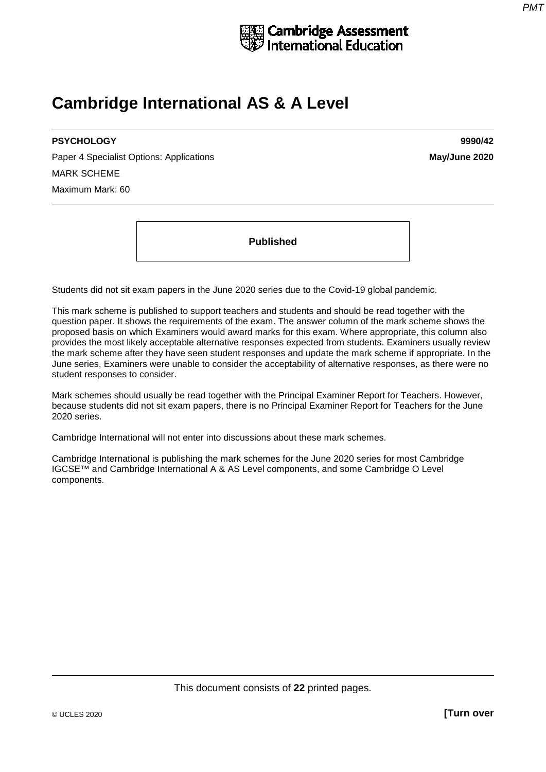

# **Cambridge International AS & A Level**

# **PSYCHOLOGY 9990/42**

Paper 4 Specialist Options: Applications **May/June 2020** MARK SCHEME Maximum Mark: 60

**Published**

Students did not sit exam papers in the June 2020 series due to the Covid-19 global pandemic.

This mark scheme is published to support teachers and students and should be read together with the question paper. It shows the requirements of the exam. The answer column of the mark scheme shows the proposed basis on which Examiners would award marks for this exam. Where appropriate, this column also provides the most likely acceptable alternative responses expected from students. Examiners usually review the mark scheme after they have seen student responses and update the mark scheme if appropriate. In the June series, Examiners were unable to consider the acceptability of alternative responses, as there were no student responses to consider.

Mark schemes should usually be read together with the Principal Examiner Report for Teachers. However, because students did not sit exam papers, there is no Principal Examiner Report for Teachers for the June 2020 series.

Cambridge International will not enter into discussions about these mark schemes.

Cambridge International is publishing the mark schemes for the June 2020 series for most Cambridge IGCSE™ and Cambridge International A & AS Level components, and some Cambridge O Level components.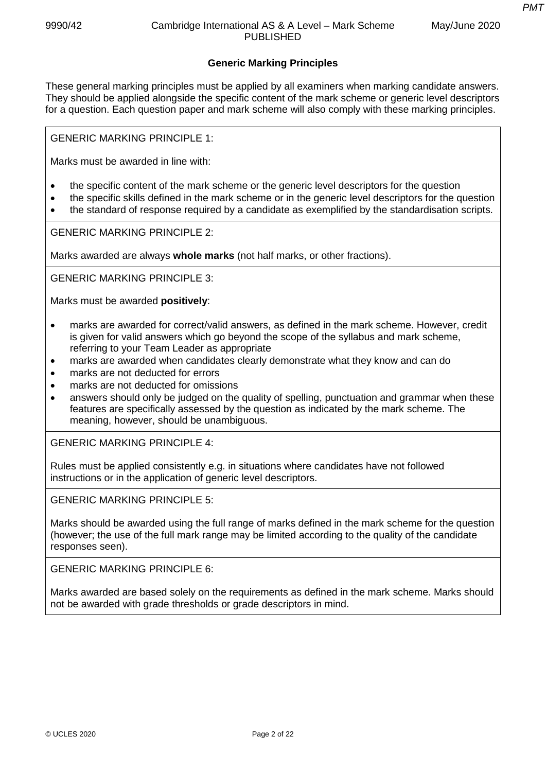*PMT*

# **Generic Marking Principles**

These general marking principles must be applied by all examiners when marking candidate answers. They should be applied alongside the specific content of the mark scheme or generic level descriptors for a question. Each question paper and mark scheme will also comply with these marking principles.

GENERIC MARKING PRINCIPLE 1:

Marks must be awarded in line with:

- the specific content of the mark scheme or the generic level descriptors for the question
- the specific skills defined in the mark scheme or in the generic level descriptors for the question
- the standard of response required by a candidate as exemplified by the standardisation scripts.

GENERIC MARKING PRINCIPLE 2:

Marks awarded are always **whole marks** (not half marks, or other fractions).

GENERIC MARKING PRINCIPLE 3:

Marks must be awarded **positively**:

- marks are awarded for correct/valid answers, as defined in the mark scheme. However, credit is given for valid answers which go beyond the scope of the syllabus and mark scheme, referring to your Team Leader as appropriate
- marks are awarded when candidates clearly demonstrate what they know and can do
- marks are not deducted for errors
- marks are not deducted for omissions
- answers should only be judged on the quality of spelling, punctuation and grammar when these features are specifically assessed by the question as indicated by the mark scheme. The meaning, however, should be unambiguous.

GENERIC MARKING PRINCIPLE 4:

Rules must be applied consistently e.g. in situations where candidates have not followed instructions or in the application of generic level descriptors.

GENERIC MARKING PRINCIPLE 5:

Marks should be awarded using the full range of marks defined in the mark scheme for the question (however; the use of the full mark range may be limited according to the quality of the candidate responses seen).

GENERIC MARKING PRINCIPLE 6:

Marks awarded are based solely on the requirements as defined in the mark scheme. Marks should not be awarded with grade thresholds or grade descriptors in mind.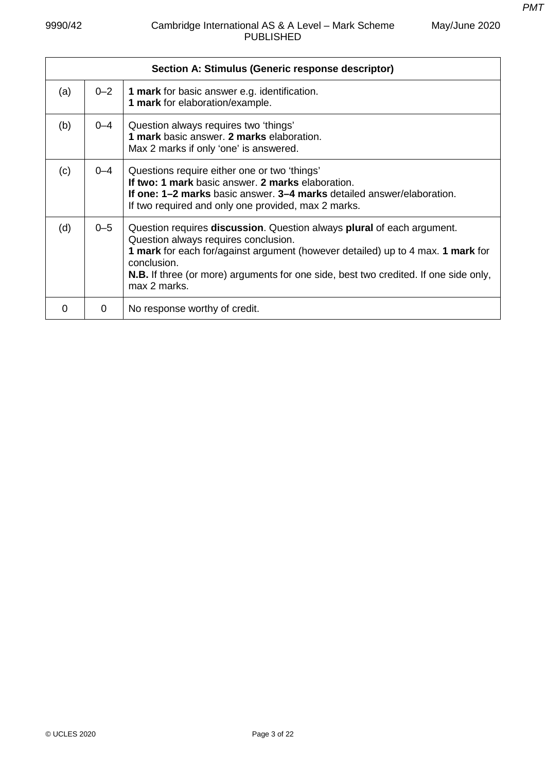| May/June 2020 |  |
|---------------|--|
|---------------|--|

|     |         | Section A: Stimulus (Generic response descriptor)                                                                                                                                                                                                                                                                               |
|-----|---------|---------------------------------------------------------------------------------------------------------------------------------------------------------------------------------------------------------------------------------------------------------------------------------------------------------------------------------|
| (a) | $0 - 2$ | 1 mark for basic answer e.g. identification.<br>1 mark for elaboration/example.                                                                                                                                                                                                                                                 |
| (b) | $0 - 4$ | Question always requires two 'things'<br>1 mark basic answer. 2 marks elaboration.<br>Max 2 marks if only 'one' is answered.                                                                                                                                                                                                    |
| (c) | 0–4     | Questions require either one or two 'things'<br>If two: 1 mark basic answer. 2 marks elaboration.<br>If one: 1-2 marks basic answer. 3-4 marks detailed answer/elaboration.<br>If two required and only one provided, max 2 marks.                                                                                              |
| (d) | $0 - 5$ | Question requires discussion. Question always plural of each argument.<br>Question always requires conclusion.<br>1 mark for each for/against argument (however detailed) up to 4 max. 1 mark for<br>conclusion.<br><b>N.B.</b> If three (or more) arguments for one side, best two credited. If one side only,<br>max 2 marks. |
| 0   | 0       | No response worthy of credit.                                                                                                                                                                                                                                                                                                   |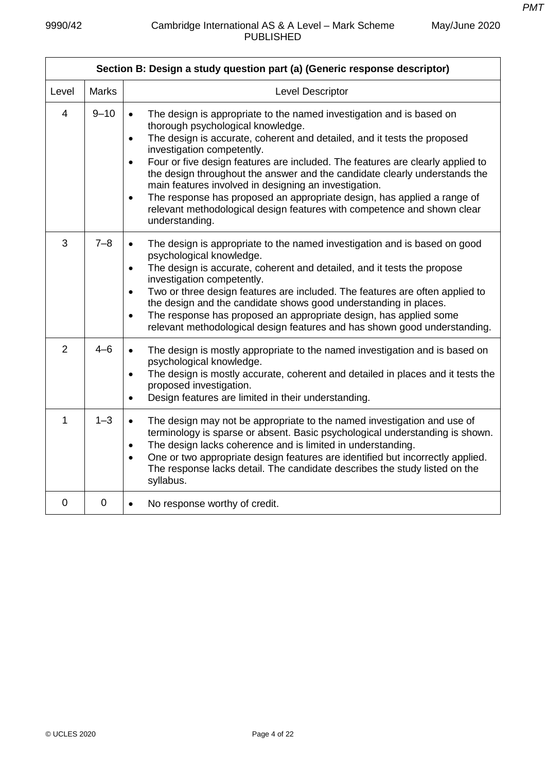| Section B: Design a study question part (a) (Generic response descriptor) |              |                                                                                                                                                                                                                                                                                                                                                                                                                                                                                                                                                                                                                                                                          |  |  |
|---------------------------------------------------------------------------|--------------|--------------------------------------------------------------------------------------------------------------------------------------------------------------------------------------------------------------------------------------------------------------------------------------------------------------------------------------------------------------------------------------------------------------------------------------------------------------------------------------------------------------------------------------------------------------------------------------------------------------------------------------------------------------------------|--|--|
| Level                                                                     | <b>Marks</b> | Level Descriptor                                                                                                                                                                                                                                                                                                                                                                                                                                                                                                                                                                                                                                                         |  |  |
| $\overline{4}$                                                            | $9 - 10$     | The design is appropriate to the named investigation and is based on<br>$\bullet$<br>thorough psychological knowledge.<br>The design is accurate, coherent and detailed, and it tests the proposed<br>$\bullet$<br>investigation competently.<br>Four or five design features are included. The features are clearly applied to<br>$\bullet$<br>the design throughout the answer and the candidate clearly understands the<br>main features involved in designing an investigation.<br>The response has proposed an appropriate design, has applied a range of<br>$\bullet$<br>relevant methodological design features with competence and shown clear<br>understanding. |  |  |
| 3                                                                         | $7 - 8$      | The design is appropriate to the named investigation and is based on good<br>$\bullet$<br>psychological knowledge.<br>The design is accurate, coherent and detailed, and it tests the propose<br>$\bullet$<br>investigation competently.<br>Two or three design features are included. The features are often applied to<br>$\bullet$<br>the design and the candidate shows good understanding in places.<br>The response has proposed an appropriate design, has applied some<br>$\bullet$<br>relevant methodological design features and has shown good understanding.                                                                                                 |  |  |
| $\overline{2}$                                                            | $4 - 6$      | The design is mostly appropriate to the named investigation and is based on<br>$\bullet$<br>psychological knowledge.<br>The design is mostly accurate, coherent and detailed in places and it tests the<br>$\bullet$<br>proposed investigation.<br>Design features are limited in their understanding.<br>$\bullet$                                                                                                                                                                                                                                                                                                                                                      |  |  |
| 1                                                                         | $1 - 3$      | The design may not be appropriate to the named investigation and use of<br>$\bullet$<br>terminology is sparse or absent. Basic psychological understanding is shown.<br>The design lacks coherence and is limited in understanding.<br>$\bullet$<br>One or two appropriate design features are identified but incorrectly applied.<br>$\bullet$<br>The response lacks detail. The candidate describes the study listed on the<br>syllabus.                                                                                                                                                                                                                               |  |  |
| 0                                                                         | $\mathbf 0$  | No response worthy of credit.<br>$\bullet$                                                                                                                                                                                                                                                                                                                                                                                                                                                                                                                                                                                                                               |  |  |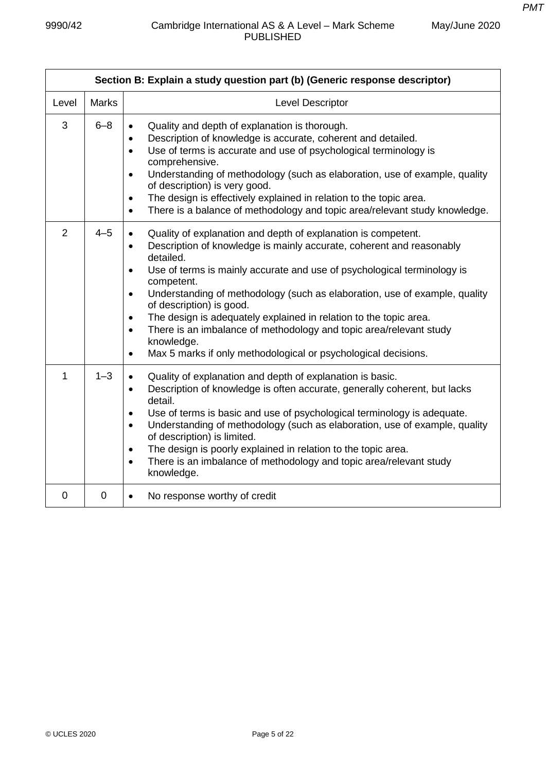| Section B: Explain a study question part (b) (Generic response descriptor) |                |                                                                                                                                                                                                                                                                                                                                                                                                                                                                                                                                                                                                                                                                             |  |  |
|----------------------------------------------------------------------------|----------------|-----------------------------------------------------------------------------------------------------------------------------------------------------------------------------------------------------------------------------------------------------------------------------------------------------------------------------------------------------------------------------------------------------------------------------------------------------------------------------------------------------------------------------------------------------------------------------------------------------------------------------------------------------------------------------|--|--|
| Level                                                                      | <b>Marks</b>   | Level Descriptor                                                                                                                                                                                                                                                                                                                                                                                                                                                                                                                                                                                                                                                            |  |  |
| 3                                                                          | $6 - 8$        | Quality and depth of explanation is thorough.<br>$\bullet$<br>Description of knowledge is accurate, coherent and detailed.<br>$\bullet$<br>Use of terms is accurate and use of psychological terminology is<br>$\bullet$<br>comprehensive.<br>Understanding of methodology (such as elaboration, use of example, quality<br>$\bullet$<br>of description) is very good.<br>The design is effectively explained in relation to the topic area.<br>$\bullet$<br>There is a balance of methodology and topic area/relevant study knowledge.<br>$\bullet$                                                                                                                        |  |  |
| $\overline{2}$                                                             | $4 - 5$        | Quality of explanation and depth of explanation is competent.<br>$\bullet$<br>Description of knowledge is mainly accurate, coherent and reasonably<br>$\bullet$<br>detailed.<br>Use of terms is mainly accurate and use of psychological terminology is<br>$\bullet$<br>competent.<br>Understanding of methodology (such as elaboration, use of example, quality<br>$\bullet$<br>of description) is good.<br>The design is adequately explained in relation to the topic area.<br>$\bullet$<br>There is an imbalance of methodology and topic area/relevant study<br>$\bullet$<br>knowledge.<br>Max 5 marks if only methodological or psychological decisions.<br>$\bullet$ |  |  |
| $\mathbf{1}$                                                               | $1 - 3$        | Quality of explanation and depth of explanation is basic.<br>$\bullet$<br>Description of knowledge is often accurate, generally coherent, but lacks<br>$\bullet$<br>detail.<br>Use of terms is basic and use of psychological terminology is adequate.<br>$\bullet$<br>Understanding of methodology (such as elaboration, use of example, quality<br>$\bullet$<br>of description) is limited.<br>The design is poorly explained in relation to the topic area.<br>$\bullet$<br>There is an imbalance of methodology and topic area/relevant study<br>$\bullet$<br>knowledge.                                                                                                |  |  |
| $\overline{0}$                                                             | $\overline{0}$ | No response worthy of credit<br>$\bullet$                                                                                                                                                                                                                                                                                                                                                                                                                                                                                                                                                                                                                                   |  |  |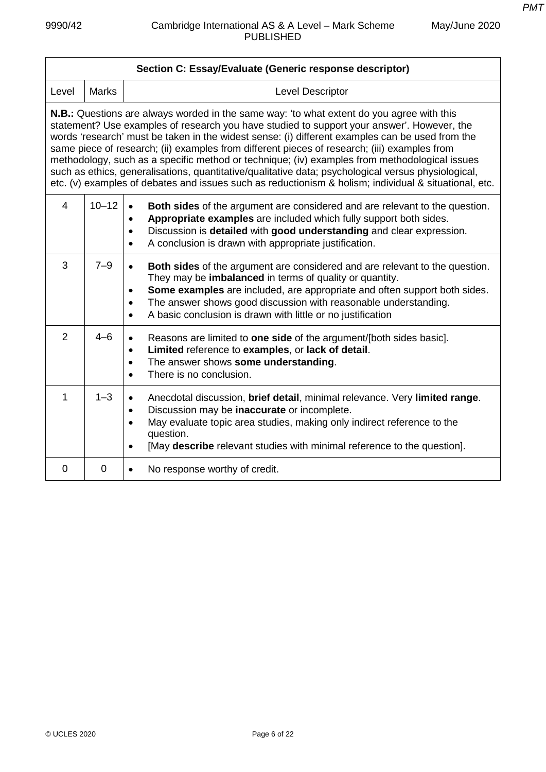| Section C: Essay/Evaluate (Generic response descriptor)                                                                                                                                                                                                                                                                                                                                                                                                                                                                                                                                                                                                                                                            |                |                                                                                                                                                                                                                                                                                                                                                                                                                  |  |
|--------------------------------------------------------------------------------------------------------------------------------------------------------------------------------------------------------------------------------------------------------------------------------------------------------------------------------------------------------------------------------------------------------------------------------------------------------------------------------------------------------------------------------------------------------------------------------------------------------------------------------------------------------------------------------------------------------------------|----------------|------------------------------------------------------------------------------------------------------------------------------------------------------------------------------------------------------------------------------------------------------------------------------------------------------------------------------------------------------------------------------------------------------------------|--|
| Level                                                                                                                                                                                                                                                                                                                                                                                                                                                                                                                                                                                                                                                                                                              | <b>Marks</b>   | <b>Level Descriptor</b>                                                                                                                                                                                                                                                                                                                                                                                          |  |
| <b>N.B.:</b> Questions are always worded in the same way: 'to what extent do you agree with this<br>statement? Use examples of research you have studied to support your answer'. However, the<br>words 'research' must be taken in the widest sense: (i) different examples can be used from the<br>same piece of research; (ii) examples from different pieces of research; (iii) examples from<br>methodology, such as a specific method or technique; (iv) examples from methodological issues<br>such as ethics, generalisations, quantitative/qualitative data; psychological versus physiological,<br>etc. (v) examples of debates and issues such as reductionism & holism; individual & situational, etc. |                |                                                                                                                                                                                                                                                                                                                                                                                                                  |  |
| $\overline{4}$                                                                                                                                                                                                                                                                                                                                                                                                                                                                                                                                                                                                                                                                                                     | $10 - 12$      | <b>Both sides</b> of the argument are considered and are relevant to the question.<br>$\bullet$<br>Appropriate examples are included which fully support both sides.<br>$\bullet$<br>Discussion is detailed with good understanding and clear expression.<br>$\bullet$<br>A conclusion is drawn with appropriate justification.<br>$\bullet$                                                                     |  |
| 3                                                                                                                                                                                                                                                                                                                                                                                                                                                                                                                                                                                                                                                                                                                  | $7 - 9$        | Both sides of the argument are considered and are relevant to the question.<br>$\bullet$<br>They may be <b>imbalanced</b> in terms of quality or quantity.<br>Some examples are included, are appropriate and often support both sides.<br>$\bullet$<br>The answer shows good discussion with reasonable understanding.<br>$\bullet$<br>A basic conclusion is drawn with little or no justification<br>$\bullet$ |  |
| 2                                                                                                                                                                                                                                                                                                                                                                                                                                                                                                                                                                                                                                                                                                                  | $4 - 6$        | Reasons are limited to one side of the argument/[both sides basic].<br>$\bullet$<br>Limited reference to examples, or lack of detail.<br>$\bullet$<br>The answer shows some understanding.<br>$\bullet$<br>There is no conclusion.<br>$\bullet$                                                                                                                                                                  |  |
| 1                                                                                                                                                                                                                                                                                                                                                                                                                                                                                                                                                                                                                                                                                                                  | $1 - 3$        | Anecdotal discussion, brief detail, minimal relevance. Very limited range.<br>Discussion may be inaccurate or incomplete.<br>$\bullet$<br>May evaluate topic area studies, making only indirect reference to the<br>$\bullet$<br>question.<br>[May describe relevant studies with minimal reference to the question].<br>$\bullet$                                                                               |  |
| $\Omega$                                                                                                                                                                                                                                                                                                                                                                                                                                                                                                                                                                                                                                                                                                           | $\overline{0}$ | No response worthy of credit.<br>$\bullet$                                                                                                                                                                                                                                                                                                                                                                       |  |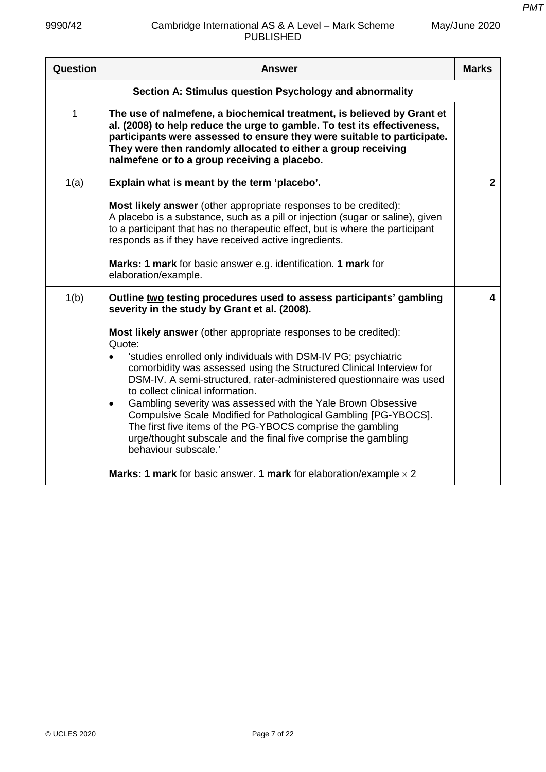| Question                                                | <b>Answer</b>                                                                                                                                                                                                                                                                                                                                  | <b>Marks</b>   |
|---------------------------------------------------------|------------------------------------------------------------------------------------------------------------------------------------------------------------------------------------------------------------------------------------------------------------------------------------------------------------------------------------------------|----------------|
| Section A: Stimulus question Psychology and abnormality |                                                                                                                                                                                                                                                                                                                                                |                |
| 1                                                       | The use of nalmefene, a biochemical treatment, is believed by Grant et<br>al. (2008) to help reduce the urge to gamble. To test its effectiveness,<br>participants were assessed to ensure they were suitable to participate.<br>They were then randomly allocated to either a group receiving<br>nalmefene or to a group receiving a placebo. |                |
| 1(a)                                                    | Explain what is meant by the term 'placebo'.                                                                                                                                                                                                                                                                                                   | $\overline{2}$ |
|                                                         | Most likely answer (other appropriate responses to be credited):<br>A placebo is a substance, such as a pill or injection (sugar or saline), given<br>to a participant that has no therapeutic effect, but is where the participant<br>responds as if they have received active ingredients.                                                   |                |
|                                                         | Marks: 1 mark for basic answer e.g. identification. 1 mark for<br>elaboration/example.                                                                                                                                                                                                                                                         |                |
| 1(b)                                                    | Outline two testing procedures used to assess participants' gambling<br>severity in the study by Grant et al. (2008).                                                                                                                                                                                                                          | 4              |
|                                                         | <b>Most likely answer</b> (other appropriate responses to be credited):<br>Quote:                                                                                                                                                                                                                                                              |                |
|                                                         | 'studies enrolled only individuals with DSM-IV PG; psychiatric<br>$\bullet$<br>comorbidity was assessed using the Structured Clinical Interview for<br>DSM-IV. A semi-structured, rater-administered questionnaire was used<br>to collect clinical information.                                                                                |                |
|                                                         | Gambling severity was assessed with the Yale Brown Obsessive<br>$\bullet$<br>Compulsive Scale Modified for Pathological Gambling [PG-YBOCS].<br>The first five items of the PG-YBOCS comprise the gambling<br>urge/thought subscale and the final five comprise the gambling<br>behaviour subscale.'                                           |                |
|                                                         | <b>Marks: 1 mark</b> for basic answer. 1 mark for elaboration/example $\times$ 2                                                                                                                                                                                                                                                               |                |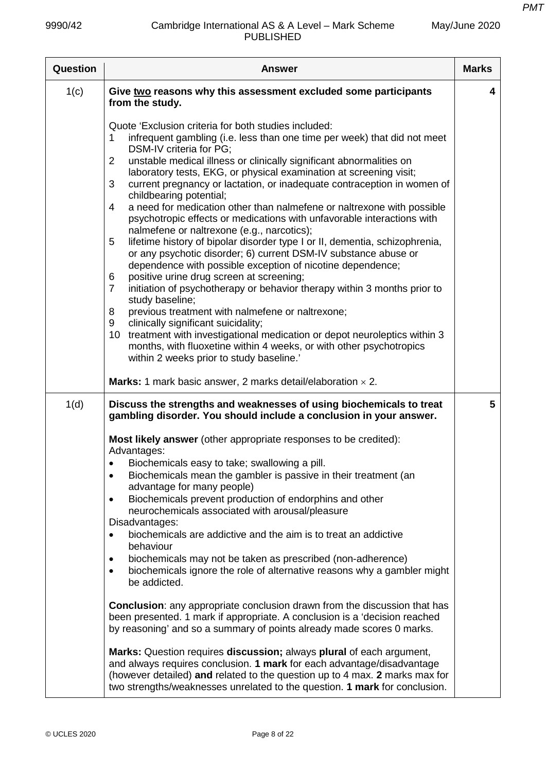| Question | <b>Answer</b>                                                                                                                                                                                                                                                                                                                                                                                                                                                                                                                                                                                                                                                                                                                                                                                                                                                                                                                                                                                                                                                                                                                                                                                                                                                                                                                                                                                                                | <b>Marks</b> |
|----------|------------------------------------------------------------------------------------------------------------------------------------------------------------------------------------------------------------------------------------------------------------------------------------------------------------------------------------------------------------------------------------------------------------------------------------------------------------------------------------------------------------------------------------------------------------------------------------------------------------------------------------------------------------------------------------------------------------------------------------------------------------------------------------------------------------------------------------------------------------------------------------------------------------------------------------------------------------------------------------------------------------------------------------------------------------------------------------------------------------------------------------------------------------------------------------------------------------------------------------------------------------------------------------------------------------------------------------------------------------------------------------------------------------------------------|--------------|
| 1(c)     | Give two reasons why this assessment excluded some participants<br>from the study.                                                                                                                                                                                                                                                                                                                                                                                                                                                                                                                                                                                                                                                                                                                                                                                                                                                                                                                                                                                                                                                                                                                                                                                                                                                                                                                                           | 4            |
|          | Quote 'Exclusion criteria for both studies included:<br>infrequent gambling (i.e. less than one time per week) that did not meet<br>1<br>DSM-IV criteria for PG;<br>unstable medical illness or clinically significant abnormalities on<br>$\overline{2}$<br>laboratory tests, EKG, or physical examination at screening visit;<br>3<br>current pregnancy or lactation, or inadequate contraception in women of<br>childbearing potential;<br>a need for medication other than nalmefene or naltrexone with possible<br>4<br>psychotropic effects or medications with unfavorable interactions with<br>nalmefene or naltrexone (e.g., narcotics);<br>lifetime history of bipolar disorder type I or II, dementia, schizophrenia,<br>5<br>or any psychotic disorder; 6) current DSM-IV substance abuse or<br>dependence with possible exception of nicotine dependence;<br>positive urine drug screen at screening;<br>6<br>initiation of psychotherapy or behavior therapy within 3 months prior to<br>$\overline{7}$<br>study baseline;<br>previous treatment with nalmefene or naltrexone;<br>8<br>clinically significant suicidality;<br>9<br>10 treatment with investigational medication or depot neuroleptics within 3<br>months, with fluoxetine within 4 weeks, or with other psychotropics<br>within 2 weeks prior to study baseline.'<br><b>Marks:</b> 1 mark basic answer, 2 marks detail/elaboration $\times$ 2. |              |
| 1(d)     | Discuss the strengths and weaknesses of using biochemicals to treat                                                                                                                                                                                                                                                                                                                                                                                                                                                                                                                                                                                                                                                                                                                                                                                                                                                                                                                                                                                                                                                                                                                                                                                                                                                                                                                                                          | 5            |
|          | gambling disorder. You should include a conclusion in your answer.<br>Most likely answer (other appropriate responses to be credited):<br>Advantages:<br>Biochemicals easy to take; swallowing a pill.<br>Biochemicals mean the gambler is passive in their treatment (an<br>$\bullet$<br>advantage for many people)<br>Biochemicals prevent production of endorphins and other<br>$\bullet$<br>neurochemicals associated with arousal/pleasure<br>Disadvantages:<br>biochemicals are addictive and the aim is to treat an addictive<br>behaviour<br>biochemicals may not be taken as prescribed (non-adherence)<br>$\bullet$<br>biochemicals ignore the role of alternative reasons why a gambler might<br>$\bullet$<br>be addicted.<br><b>Conclusion:</b> any appropriate conclusion drawn from the discussion that has<br>been presented. 1 mark if appropriate. A conclusion is a 'decision reached<br>by reasoning' and so a summary of points already made scores 0 marks.                                                                                                                                                                                                                                                                                                                                                                                                                                             |              |
|          | Marks: Question requires discussion; always plural of each argument,<br>and always requires conclusion. 1 mark for each advantage/disadvantage<br>(however detailed) and related to the question up to 4 max. 2 marks max for<br>two strengths/weaknesses unrelated to the question. 1 mark for conclusion.                                                                                                                                                                                                                                                                                                                                                                                                                                                                                                                                                                                                                                                                                                                                                                                                                                                                                                                                                                                                                                                                                                                  |              |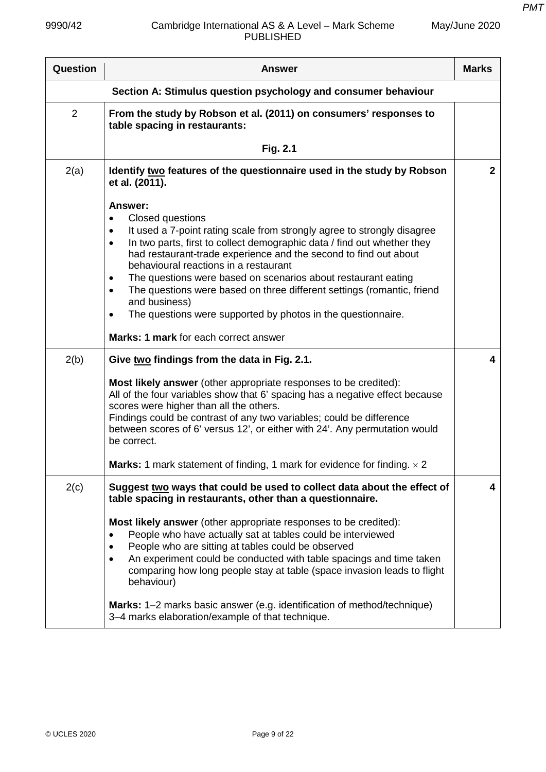| <b>Answer</b>                                                                                                                                                                                                                                                                                                                                                                                                                                                                                                                                                                                                                                    | <b>Marks</b>                                                                                                                               |  |
|--------------------------------------------------------------------------------------------------------------------------------------------------------------------------------------------------------------------------------------------------------------------------------------------------------------------------------------------------------------------------------------------------------------------------------------------------------------------------------------------------------------------------------------------------------------------------------------------------------------------------------------------------|--------------------------------------------------------------------------------------------------------------------------------------------|--|
| Section A: Stimulus question psychology and consumer behaviour                                                                                                                                                                                                                                                                                                                                                                                                                                                                                                                                                                                   |                                                                                                                                            |  |
| From the study by Robson et al. (2011) on consumers' responses to<br>table spacing in restaurants:                                                                                                                                                                                                                                                                                                                                                                                                                                                                                                                                               |                                                                                                                                            |  |
| Fig. 2.1                                                                                                                                                                                                                                                                                                                                                                                                                                                                                                                                                                                                                                         |                                                                                                                                            |  |
| Identify two features of the questionnaire used in the study by Robson<br>et al. (2011).                                                                                                                                                                                                                                                                                                                                                                                                                                                                                                                                                         | $\mathbf{2}$                                                                                                                               |  |
| <b>Answer:</b><br>Closed questions<br>$\bullet$<br>It used a 7-point rating scale from strongly agree to strongly disagree<br>$\bullet$<br>In two parts, first to collect demographic data / find out whether they<br>$\bullet$<br>had restaurant-trade experience and the second to find out about<br>behavioural reactions in a restaurant<br>The questions were based on scenarios about restaurant eating<br>٠<br>The questions were based on three different settings (romantic, friend<br>$\bullet$<br>and business)<br>The questions were supported by photos in the questionnaire.<br>$\bullet$<br>Marks: 1 mark for each correct answer |                                                                                                                                            |  |
| Give two findings from the data in Fig. 2.1.                                                                                                                                                                                                                                                                                                                                                                                                                                                                                                                                                                                                     | 4                                                                                                                                          |  |
| Most likely answer (other appropriate responses to be credited):<br>All of the four variables show that 6' spacing has a negative effect because<br>scores were higher than all the others.<br>Findings could be contrast of any two variables; could be difference<br>between scores of 6' versus 12', or either with 24'. Any permutation would<br>be correct.                                                                                                                                                                                                                                                                                 |                                                                                                                                            |  |
|                                                                                                                                                                                                                                                                                                                                                                                                                                                                                                                                                                                                                                                  |                                                                                                                                            |  |
| Suggest two ways that could be used to collect data about the effect of<br>table spacing in restaurants, other than a questionnaire.<br><b>Most likely answer</b> (other appropriate responses to be credited):<br>People who have actually sat at tables could be interviewed<br>$\bullet$<br>People who are sitting at tables could be observed<br>An experiment could be conducted with table spacings and time taken<br>$\bullet$<br>comparing how long people stay at table (space invasion leads to flight<br>behaviour)<br>Marks: 1–2 marks basic answer (e.g. identification of method/technique)                                        | 4                                                                                                                                          |  |
|                                                                                                                                                                                                                                                                                                                                                                                                                                                                                                                                                                                                                                                  | <b>Marks:</b> 1 mark statement of finding, 1 mark for evidence for finding. $\times$ 2<br>3-4 marks elaboration/example of that technique. |  |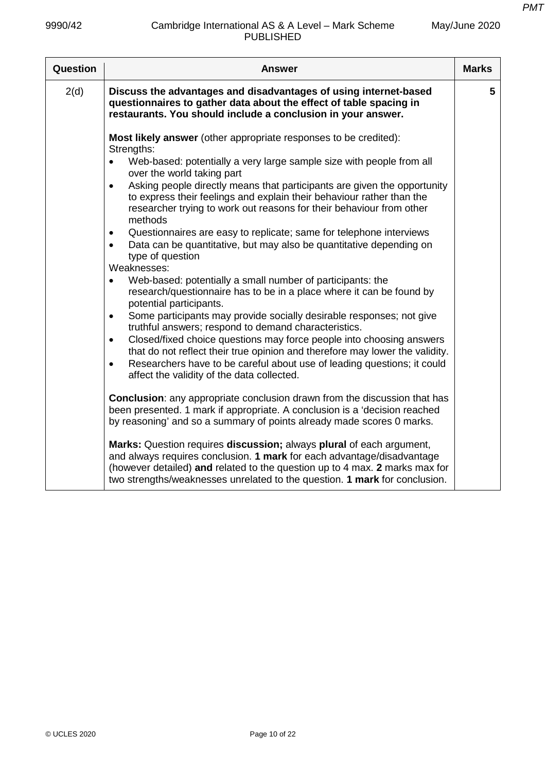| Question | Answer                                                                                                                                                                                                                                                                                                                                                                                                                                                                                                                                                                                                                                                                                                                                                                                                                                                                                                                                                                                                                                                                                                                                                                                                                                                                                                                                                                                                                                                                                                                                                                                                                                                                                                                                                                                                                                                            | <b>Marks</b> |
|----------|-------------------------------------------------------------------------------------------------------------------------------------------------------------------------------------------------------------------------------------------------------------------------------------------------------------------------------------------------------------------------------------------------------------------------------------------------------------------------------------------------------------------------------------------------------------------------------------------------------------------------------------------------------------------------------------------------------------------------------------------------------------------------------------------------------------------------------------------------------------------------------------------------------------------------------------------------------------------------------------------------------------------------------------------------------------------------------------------------------------------------------------------------------------------------------------------------------------------------------------------------------------------------------------------------------------------------------------------------------------------------------------------------------------------------------------------------------------------------------------------------------------------------------------------------------------------------------------------------------------------------------------------------------------------------------------------------------------------------------------------------------------------------------------------------------------------------------------------------------------------|--------------|
| 2(d)     | Discuss the advantages and disadvantages of using internet-based<br>questionnaires to gather data about the effect of table spacing in<br>restaurants. You should include a conclusion in your answer.                                                                                                                                                                                                                                                                                                                                                                                                                                                                                                                                                                                                                                                                                                                                                                                                                                                                                                                                                                                                                                                                                                                                                                                                                                                                                                                                                                                                                                                                                                                                                                                                                                                            | 5            |
|          | Most likely answer (other appropriate responses to be credited):<br>Strengths:<br>Web-based: potentially a very large sample size with people from all<br>$\bullet$<br>over the world taking part<br>Asking people directly means that participants are given the opportunity<br>$\bullet$<br>to express their feelings and explain their behaviour rather than the<br>researcher trying to work out reasons for their behaviour from other<br>methods<br>Questionnaires are easy to replicate; same for telephone interviews<br>$\bullet$<br>Data can be quantitative, but may also be quantitative depending on<br>$\bullet$<br>type of question<br>Weaknesses:<br>Web-based: potentially a small number of participants: the<br>$\bullet$<br>research/questionnaire has to be in a place where it can be found by<br>potential participants.<br>Some participants may provide socially desirable responses; not give<br>$\bullet$<br>truthful answers; respond to demand characteristics.<br>Closed/fixed choice questions may force people into choosing answers<br>$\bullet$<br>that do not reflect their true opinion and therefore may lower the validity.<br>Researchers have to be careful about use of leading questions; it could<br>$\bullet$<br>affect the validity of the data collected.<br><b>Conclusion:</b> any appropriate conclusion drawn from the discussion that has<br>been presented. 1 mark if appropriate. A conclusion is a 'decision reached<br>by reasoning' and so a summary of points already made scores 0 marks.<br>Marks: Question requires discussion; always plural of each argument,<br>and always requires conclusion. 1 mark for each advantage/disadvantage<br>(however detailed) and related to the question up to 4 max. 2 marks max for<br>two strengths/weaknesses unrelated to the question. 1 mark for conclusion. |              |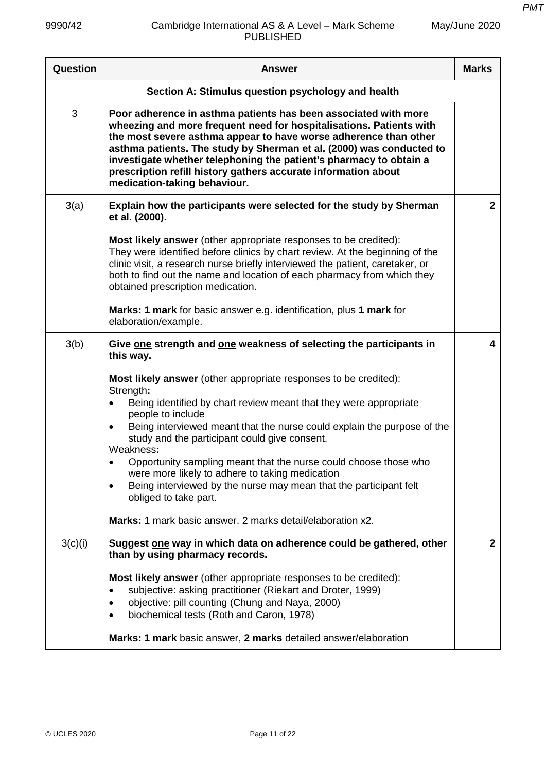| Question                                           | <b>Answer</b>                                                                                                                                                                                                                                                                                                                                                                                                                                                                                                                                                                                                    | <b>Marks</b>   |
|----------------------------------------------------|------------------------------------------------------------------------------------------------------------------------------------------------------------------------------------------------------------------------------------------------------------------------------------------------------------------------------------------------------------------------------------------------------------------------------------------------------------------------------------------------------------------------------------------------------------------------------------------------------------------|----------------|
| Section A: Stimulus question psychology and health |                                                                                                                                                                                                                                                                                                                                                                                                                                                                                                                                                                                                                  |                |
| 3                                                  | Poor adherence in asthma patients has been associated with more<br>wheezing and more frequent need for hospitalisations. Patients with<br>the most severe asthma appear to have worse adherence than other<br>asthma patients. The study by Sherman et al. (2000) was conducted to<br>investigate whether telephoning the patient's pharmacy to obtain a<br>prescription refill history gathers accurate information about<br>medication-taking behaviour.                                                                                                                                                       |                |
| 3(a)                                               | Explain how the participants were selected for the study by Sherman<br>et al. (2000).                                                                                                                                                                                                                                                                                                                                                                                                                                                                                                                            | $\overline{2}$ |
|                                                    | Most likely answer (other appropriate responses to be credited):<br>They were identified before clinics by chart review. At the beginning of the<br>clinic visit, a research nurse briefly interviewed the patient, caretaker, or<br>both to find out the name and location of each pharmacy from which they<br>obtained prescription medication.                                                                                                                                                                                                                                                                |                |
|                                                    | Marks: 1 mark for basic answer e.g. identification, plus 1 mark for<br>elaboration/example.                                                                                                                                                                                                                                                                                                                                                                                                                                                                                                                      |                |
| 3(b)                                               | Give one strength and one weakness of selecting the participants in<br>this way.                                                                                                                                                                                                                                                                                                                                                                                                                                                                                                                                 | 4              |
|                                                    | Most likely answer (other appropriate responses to be credited):<br>Strength:<br>Being identified by chart review meant that they were appropriate<br>people to include<br>Being interviewed meant that the nurse could explain the purpose of the<br>$\bullet$<br>study and the participant could give consent.<br>Weakness:<br>Opportunity sampling meant that the nurse could choose those who<br>were more likely to adhere to taking medication<br>Being interviewed by the nurse may mean that the participant felt<br>obliged to take part.<br>Marks: 1 mark basic answer, 2 marks detail/elaboration x2. |                |
| 3(c)(i)                                            | Suggest one way in which data on adherence could be gathered, other<br>than by using pharmacy records.                                                                                                                                                                                                                                                                                                                                                                                                                                                                                                           | $\mathbf{2}$   |
|                                                    | Most likely answer (other appropriate responses to be credited):<br>subjective: asking practitioner (Riekart and Droter, 1999)<br>٠<br>objective: pill counting (Chung and Naya, 2000)<br>٠<br>biochemical tests (Roth and Caron, 1978)<br>$\bullet$<br>Marks: 1 mark basic answer, 2 marks detailed answer/elaboration                                                                                                                                                                                                                                                                                          |                |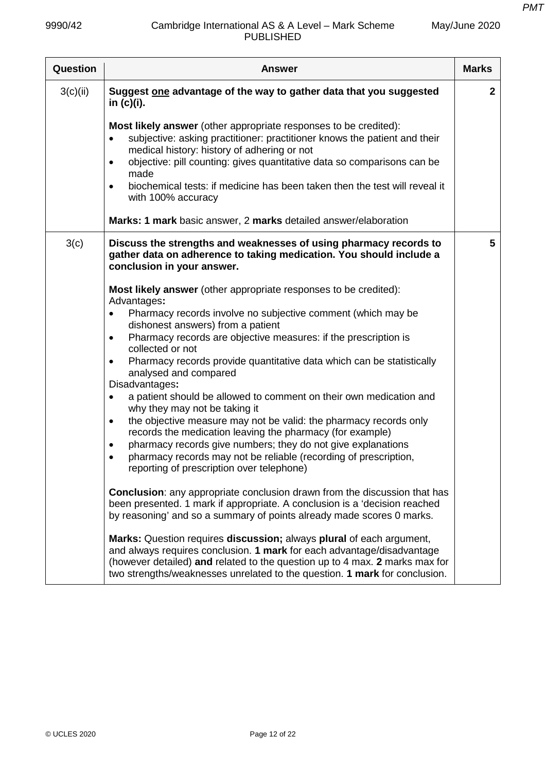| Question | <b>Answer</b>                                                                                                                                                                                                                                                                                                                                                                                                                                                                                                                                                                                                                                                                                                                                                                                                                                                           | <b>Marks</b> |
|----------|-------------------------------------------------------------------------------------------------------------------------------------------------------------------------------------------------------------------------------------------------------------------------------------------------------------------------------------------------------------------------------------------------------------------------------------------------------------------------------------------------------------------------------------------------------------------------------------------------------------------------------------------------------------------------------------------------------------------------------------------------------------------------------------------------------------------------------------------------------------------------|--------------|
| 3(c)(ii) | Suggest one advantage of the way to gather data that you suggested<br>in (c)(i).                                                                                                                                                                                                                                                                                                                                                                                                                                                                                                                                                                                                                                                                                                                                                                                        | $\mathbf{2}$ |
|          | Most likely answer (other appropriate responses to be credited):<br>subjective: asking practitioner: practitioner knows the patient and their<br>$\bullet$<br>medical history: history of adhering or not<br>objective: pill counting: gives quantitative data so comparisons can be<br>$\bullet$<br>made<br>biochemical tests: if medicine has been taken then the test will reveal it<br>$\bullet$<br>with 100% accuracy<br>Marks: 1 mark basic answer, 2 marks detailed answer/elaboration                                                                                                                                                                                                                                                                                                                                                                           |              |
|          |                                                                                                                                                                                                                                                                                                                                                                                                                                                                                                                                                                                                                                                                                                                                                                                                                                                                         |              |
| 3(c)     | Discuss the strengths and weaknesses of using pharmacy records to<br>gather data on adherence to taking medication. You should include a<br>conclusion in your answer.                                                                                                                                                                                                                                                                                                                                                                                                                                                                                                                                                                                                                                                                                                  | 5            |
|          | Most likely answer (other appropriate responses to be credited):<br>Advantages:<br>Pharmacy records involve no subjective comment (which may be<br>$\bullet$<br>dishonest answers) from a patient<br>Pharmacy records are objective measures: if the prescription is<br>$\bullet$<br>collected or not<br>Pharmacy records provide quantitative data which can be statistically<br>$\bullet$<br>analysed and compared<br>Disadvantages:<br>a patient should be allowed to comment on their own medication and<br>$\bullet$<br>why they may not be taking it<br>the objective measure may not be valid: the pharmacy records only<br>$\bullet$<br>records the medication leaving the pharmacy (for example)<br>pharmacy records give numbers; they do not give explanations<br>$\bullet$<br>pharmacy records may not be reliable (recording of prescription,<br>$\bullet$ |              |
|          | reporting of prescription over telephone)<br><b>Conclusion:</b> any appropriate conclusion drawn from the discussion that has<br>been presented. 1 mark if appropriate. A conclusion is a 'decision reached<br>by reasoning' and so a summary of points already made scores 0 marks.<br>Marks: Question requires discussion; always plural of each argument,<br>and always requires conclusion. 1 mark for each advantage/disadvantage<br>(however detailed) and related to the question up to 4 max. 2 marks max for<br>two strengths/weaknesses unrelated to the question. 1 mark for conclusion.                                                                                                                                                                                                                                                                     |              |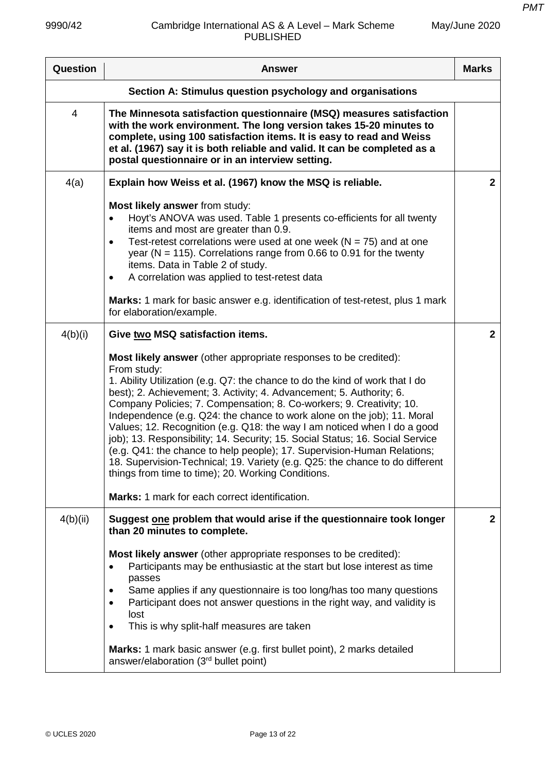| Question                                                  | <b>Answer</b>                                                                                                                                                                                                                                                                                                                                                                                                                                                                                                                                                                                                                                                                                                                                                            | <b>Marks</b>   |
|-----------------------------------------------------------|--------------------------------------------------------------------------------------------------------------------------------------------------------------------------------------------------------------------------------------------------------------------------------------------------------------------------------------------------------------------------------------------------------------------------------------------------------------------------------------------------------------------------------------------------------------------------------------------------------------------------------------------------------------------------------------------------------------------------------------------------------------------------|----------------|
| Section A: Stimulus question psychology and organisations |                                                                                                                                                                                                                                                                                                                                                                                                                                                                                                                                                                                                                                                                                                                                                                          |                |
| 4                                                         | The Minnesota satisfaction questionnaire (MSQ) measures satisfaction<br>with the work environment. The long version takes 15-20 minutes to<br>complete, using 100 satisfaction items. It is easy to read and Weiss<br>et al. (1967) say it is both reliable and valid. It can be completed as a<br>postal questionnaire or in an interview setting.                                                                                                                                                                                                                                                                                                                                                                                                                      |                |
| 4(a)                                                      | Explain how Weiss et al. (1967) know the MSQ is reliable.                                                                                                                                                                                                                                                                                                                                                                                                                                                                                                                                                                                                                                                                                                                | $\overline{2}$ |
|                                                           | Most likely answer from study:<br>Hoyt's ANOVA was used. Table 1 presents co-efficients for all twenty<br>items and most are greater than 0.9.<br>Test-retest correlations were used at one week ( $N = 75$ ) and at one<br>$\bullet$<br>year ( $N = 115$ ). Correlations range from 0.66 to 0.91 for the twenty<br>items. Data in Table 2 of study.<br>A correlation was applied to test-retest data<br>$\bullet$<br>Marks: 1 mark for basic answer e.g. identification of test-retest, plus 1 mark                                                                                                                                                                                                                                                                     |                |
|                                                           | for elaboration/example.                                                                                                                                                                                                                                                                                                                                                                                                                                                                                                                                                                                                                                                                                                                                                 |                |
| 4(b)(i)                                                   | Give two MSQ satisfaction items.                                                                                                                                                                                                                                                                                                                                                                                                                                                                                                                                                                                                                                                                                                                                         | $\overline{2}$ |
|                                                           | Most likely answer (other appropriate responses to be credited):<br>From study:<br>1. Ability Utilization (e.g. Q7: the chance to do the kind of work that I do<br>best); 2. Achievement; 3. Activity; 4. Advancement; 5. Authority; 6.<br>Company Policies; 7. Compensation; 8. Co-workers; 9. Creativity; 10.<br>Independence (e.g. Q24: the chance to work alone on the job); 11. Moral<br>Values; 12. Recognition (e.g. Q18: the way I am noticed when I do a good<br>job); 13. Responsibility; 14. Security; 15. Social Status; 16. Social Service<br>(e.g. Q41: the chance to help people); 17. Supervision-Human Relations;<br>18. Supervision-Technical; 19. Variety (e.g. Q25: the chance to do different<br>things from time to time); 20. Working Conditions. |                |
|                                                           | Marks: 1 mark for each correct identification.                                                                                                                                                                                                                                                                                                                                                                                                                                                                                                                                                                                                                                                                                                                           |                |
| 4(b)(ii)                                                  | Suggest one problem that would arise if the questionnaire took longer<br>than 20 minutes to complete.<br><b>Most likely answer</b> (other appropriate responses to be credited):<br>Participants may be enthusiastic at the start but lose interest as time<br>$\bullet$<br>passes<br>Same applies if any questionnaire is too long/has too many questions<br>$\bullet$<br>Participant does not answer questions in the right way, and validity is<br>$\bullet$<br>lost<br>This is why split-half measures are taken<br>$\bullet$<br>Marks: 1 mark basic answer (e.g. first bullet point), 2 marks detailed<br>answer/elaboration (3rd bullet point)                                                                                                                     | $\mathbf{2}$   |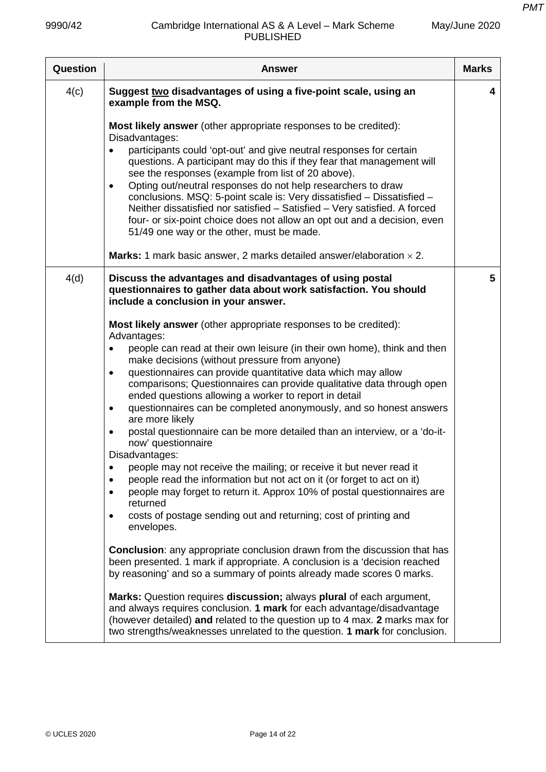| Question | <b>Answer</b>                                                                                                                                                                                                                                                                                                                                                                                                                                                                                                                                                                                                                                                                                                                                                                                                                                                                                                                                                                                                                                                                                                                                                                                                                                                                                                                                                                                                                                                                                                                                                                      | <b>Marks</b> |
|----------|------------------------------------------------------------------------------------------------------------------------------------------------------------------------------------------------------------------------------------------------------------------------------------------------------------------------------------------------------------------------------------------------------------------------------------------------------------------------------------------------------------------------------------------------------------------------------------------------------------------------------------------------------------------------------------------------------------------------------------------------------------------------------------------------------------------------------------------------------------------------------------------------------------------------------------------------------------------------------------------------------------------------------------------------------------------------------------------------------------------------------------------------------------------------------------------------------------------------------------------------------------------------------------------------------------------------------------------------------------------------------------------------------------------------------------------------------------------------------------------------------------------------------------------------------------------------------------|--------------|
| 4(c)     | Suggest two disadvantages of using a five-point scale, using an<br>example from the MSQ.                                                                                                                                                                                                                                                                                                                                                                                                                                                                                                                                                                                                                                                                                                                                                                                                                                                                                                                                                                                                                                                                                                                                                                                                                                                                                                                                                                                                                                                                                           | 4            |
|          | <b>Most likely answer</b> (other appropriate responses to be credited):<br>Disadvantages:<br>participants could 'opt-out' and give neutral responses for certain<br>$\bullet$<br>questions. A participant may do this if they fear that management will<br>see the responses (example from list of 20 above).<br>Opting out/neutral responses do not help researchers to draw<br>$\bullet$<br>conclusions. MSQ: 5-point scale is: Very dissatisfied - Dissatisfied -<br>Neither dissatisfied nor satisfied - Satisfied - Very satisfied. A forced<br>four- or six-point choice does not allow an opt out and a decision, even<br>51/49 one way or the other, must be made.<br><b>Marks:</b> 1 mark basic answer, 2 marks detailed answer/elaboration $\times$ 2.                                                                                                                                                                                                                                                                                                                                                                                                                                                                                                                                                                                                                                                                                                                                                                                                                   |              |
| 4(d)     | Discuss the advantages and disadvantages of using postal<br>questionnaires to gather data about work satisfaction. You should<br>include a conclusion in your answer.                                                                                                                                                                                                                                                                                                                                                                                                                                                                                                                                                                                                                                                                                                                                                                                                                                                                                                                                                                                                                                                                                                                                                                                                                                                                                                                                                                                                              | 5            |
|          | <b>Most likely answer</b> (other appropriate responses to be credited):<br>Advantages:<br>people can read at their own leisure (in their own home), think and then<br>$\bullet$<br>make decisions (without pressure from anyone)<br>questionnaires can provide quantitative data which may allow<br>$\bullet$<br>comparisons; Questionnaires can provide qualitative data through open<br>ended questions allowing a worker to report in detail<br>questionnaires can be completed anonymously, and so honest answers<br>$\bullet$<br>are more likely<br>postal questionnaire can be more detailed than an interview, or a 'do-it-<br>٠<br>now' questionnaire<br>Disadvantages:<br>people may not receive the mailing; or receive it but never read it<br>٠<br>people read the information but not act on it (or forget to act on it)<br>٠<br>people may forget to return it. Approx 10% of postal questionnaires are<br>returned<br>costs of postage sending out and returning; cost of printing and<br>٠<br>envelopes.<br><b>Conclusion:</b> any appropriate conclusion drawn from the discussion that has<br>been presented. 1 mark if appropriate. A conclusion is a 'decision reached<br>by reasoning' and so a summary of points already made scores 0 marks.<br>Marks: Question requires discussion; always plural of each argument,<br>and always requires conclusion. 1 mark for each advantage/disadvantage<br>(however detailed) and related to the question up to 4 max. 2 marks max for<br>two strengths/weaknesses unrelated to the question. 1 mark for conclusion. |              |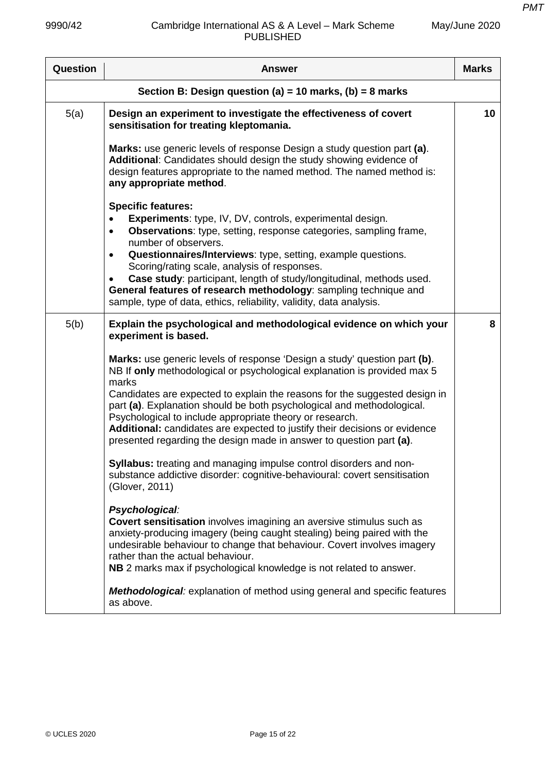| Question                                                 | <b>Answer</b>                                                                                                                                                                                                                                                                                                                                                                                                                                                                                                                                           | <b>Marks</b> |
|----------------------------------------------------------|---------------------------------------------------------------------------------------------------------------------------------------------------------------------------------------------------------------------------------------------------------------------------------------------------------------------------------------------------------------------------------------------------------------------------------------------------------------------------------------------------------------------------------------------------------|--------------|
| Section B: Design question (a) = 10 marks, (b) = 8 marks |                                                                                                                                                                                                                                                                                                                                                                                                                                                                                                                                                         |              |
| 5(a)                                                     | Design an experiment to investigate the effectiveness of covert<br>sensitisation for treating kleptomania.                                                                                                                                                                                                                                                                                                                                                                                                                                              | 10           |
|                                                          | Marks: use generic levels of response Design a study question part (a).<br>Additional: Candidates should design the study showing evidence of<br>design features appropriate to the named method. The named method is:<br>any appropriate method.                                                                                                                                                                                                                                                                                                       |              |
|                                                          | <b>Specific features:</b><br>Experiments: type, IV, DV, controls, experimental design.<br><b>Observations:</b> type, setting, response categories, sampling frame,<br>$\bullet$<br>number of observers.<br>Questionnaires/Interviews: type, setting, example questions.<br>$\bullet$<br>Scoring/rating scale, analysis of responses.<br>Case study: participant, length of study/longitudinal, methods used.<br>General features of research methodology: sampling technique and<br>sample, type of data, ethics, reliability, validity, data analysis. |              |
| 5(b)                                                     | Explain the psychological and methodological evidence on which your<br>experiment is based.                                                                                                                                                                                                                                                                                                                                                                                                                                                             | 8            |
|                                                          | Marks: use generic levels of response 'Design a study' question part (b).<br>NB If only methodological or psychological explanation is provided max 5<br>marks<br>Candidates are expected to explain the reasons for the suggested design in<br>part (a). Explanation should be both psychological and methodological.<br>Psychological to include appropriate theory or research.<br>Additional: candidates are expected to justify their decisions or evidence<br>presented regarding the design made in answer to question part (a).                 |              |
|                                                          | Syllabus: treating and managing impulse control disorders and non-<br>substance addictive disorder: cognitive-behavioural: covert sensitisation<br>(Glover, 2011)                                                                                                                                                                                                                                                                                                                                                                                       |              |
|                                                          | Psychological:<br><b>Covert sensitisation</b> involves imagining an aversive stimulus such as<br>anxiety-producing imagery (being caught stealing) being paired with the<br>undesirable behaviour to change that behaviour. Covert involves imagery<br>rather than the actual behaviour.<br>NB 2 marks max if psychological knowledge is not related to answer.                                                                                                                                                                                         |              |
|                                                          | <b>Methodological:</b> explanation of method using general and specific features<br>as above.                                                                                                                                                                                                                                                                                                                                                                                                                                                           |              |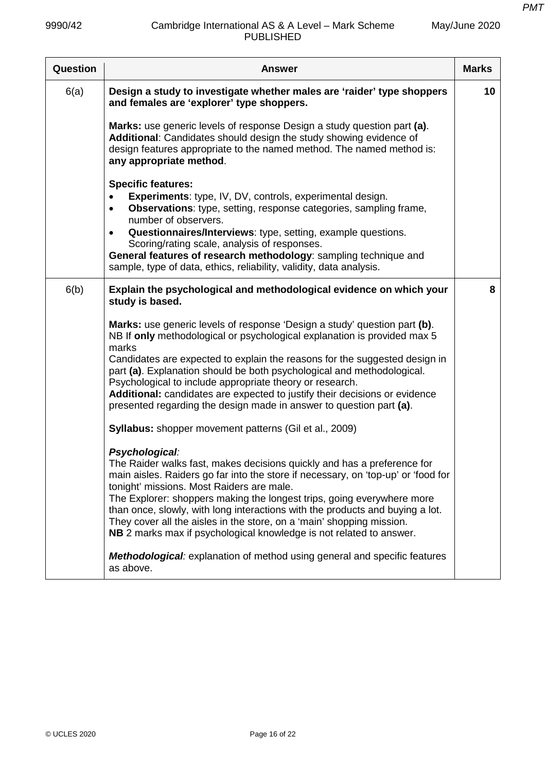| Question | <b>Answer</b>                                                                                                                                                                                                                                                                                                                                                                                                                                                                                                                           | <b>Marks</b> |
|----------|-----------------------------------------------------------------------------------------------------------------------------------------------------------------------------------------------------------------------------------------------------------------------------------------------------------------------------------------------------------------------------------------------------------------------------------------------------------------------------------------------------------------------------------------|--------------|
| 6(a)     | Design a study to investigate whether males are 'raider' type shoppers<br>and females are 'explorer' type shoppers.                                                                                                                                                                                                                                                                                                                                                                                                                     | 10           |
|          | Marks: use generic levels of response Design a study question part (a).<br>Additional: Candidates should design the study showing evidence of<br>design features appropriate to the named method. The named method is:<br>any appropriate method.                                                                                                                                                                                                                                                                                       |              |
|          | <b>Specific features:</b><br><b>Experiments: type, IV, DV, controls, experimental design.</b><br>$\bullet$<br><b>Observations:</b> type, setting, response categories, sampling frame,<br>$\bullet$<br>number of observers.<br>Questionnaires/Interviews: type, setting, example questions.<br>$\bullet$                                                                                                                                                                                                                                |              |
|          | Scoring/rating scale, analysis of responses.<br>General features of research methodology: sampling technique and<br>sample, type of data, ethics, reliability, validity, data analysis.                                                                                                                                                                                                                                                                                                                                                 |              |
| 6(b)     | Explain the psychological and methodological evidence on which your<br>study is based.                                                                                                                                                                                                                                                                                                                                                                                                                                                  | 8            |
|          | Marks: use generic levels of response 'Design a study' question part (b).<br>NB If only methodological or psychological explanation is provided max 5<br>marks<br>Candidates are expected to explain the reasons for the suggested design in<br>part (a). Explanation should be both psychological and methodological.<br>Psychological to include appropriate theory or research.<br>Additional: candidates are expected to justify their decisions or evidence<br>presented regarding the design made in answer to question part (a). |              |
|          | <b>Syllabus:</b> shopper movement patterns (Gil et al., 2009)                                                                                                                                                                                                                                                                                                                                                                                                                                                                           |              |
|          | Psychological:<br>The Raider walks fast, makes decisions quickly and has a preference for<br>main aisles. Raiders go far into the store if necessary, on 'top-up' or 'food for<br>tonight' missions. Most Raiders are male.<br>The Explorer: shoppers making the longest trips, going everywhere more<br>than once, slowly, with long interactions with the products and buying a lot.<br>They cover all the aisles in the store, on a 'main' shopping mission.<br>NB 2 marks max if psychological knowledge is not related to answer.  |              |
|          | <b>Methodological:</b> explanation of method using general and specific features<br>as above.                                                                                                                                                                                                                                                                                                                                                                                                                                           |              |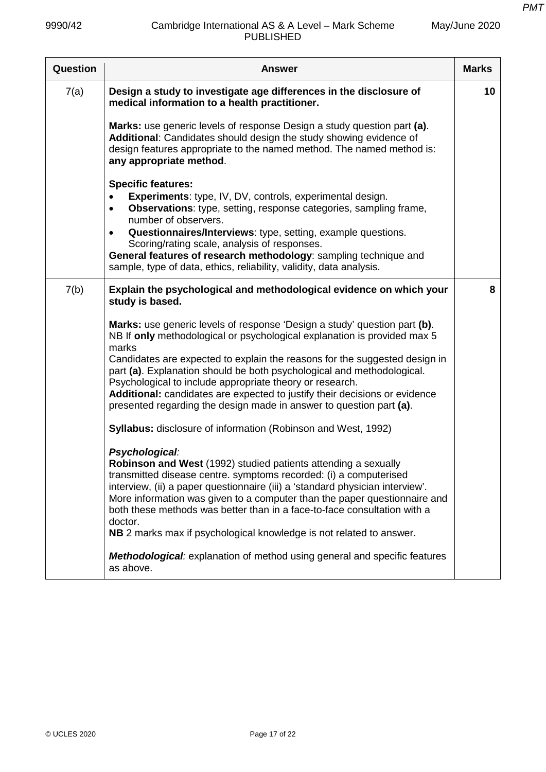| Question | <b>Answer</b>                                                                                                                                                                                                                                                                                                                                                                                                                                                                                                                                                                                                                                                                                                                                                                                                                                                                                                                                                                                                                                                                                                                                                                                  | <b>Marks</b> |
|----------|------------------------------------------------------------------------------------------------------------------------------------------------------------------------------------------------------------------------------------------------------------------------------------------------------------------------------------------------------------------------------------------------------------------------------------------------------------------------------------------------------------------------------------------------------------------------------------------------------------------------------------------------------------------------------------------------------------------------------------------------------------------------------------------------------------------------------------------------------------------------------------------------------------------------------------------------------------------------------------------------------------------------------------------------------------------------------------------------------------------------------------------------------------------------------------------------|--------------|
| 7(a)     | Design a study to investigate age differences in the disclosure of<br>medical information to a health practitioner.                                                                                                                                                                                                                                                                                                                                                                                                                                                                                                                                                                                                                                                                                                                                                                                                                                                                                                                                                                                                                                                                            | 10           |
|          | Marks: use generic levels of response Design a study question part (a).<br>Additional: Candidates should design the study showing evidence of<br>design features appropriate to the named method. The named method is:<br>any appropriate method.                                                                                                                                                                                                                                                                                                                                                                                                                                                                                                                                                                                                                                                                                                                                                                                                                                                                                                                                              |              |
|          | <b>Specific features:</b><br><b>Experiments: type, IV, DV, controls, experimental design.</b><br><b>Observations:</b> type, setting, response categories, sampling frame,<br>$\bullet$<br>number of observers.<br>Questionnaires/Interviews: type, setting, example questions.<br>$\bullet$<br>Scoring/rating scale, analysis of responses.<br>General features of research methodology: sampling technique and<br>sample, type of data, ethics, reliability, validity, data analysis.                                                                                                                                                                                                                                                                                                                                                                                                                                                                                                                                                                                                                                                                                                         |              |
| 7(b)     | Explain the psychological and methodological evidence on which your<br>study is based.                                                                                                                                                                                                                                                                                                                                                                                                                                                                                                                                                                                                                                                                                                                                                                                                                                                                                                                                                                                                                                                                                                         | 8            |
|          | Marks: use generic levels of response 'Design a study' question part (b).<br>NB If only methodological or psychological explanation is provided max 5<br>marks<br>Candidates are expected to explain the reasons for the suggested design in<br>part (a). Explanation should be both psychological and methodological.<br>Psychological to include appropriate theory or research.<br>Additional: candidates are expected to justify their decisions or evidence<br>presented regarding the design made in answer to question part (a).<br><b>Syllabus:</b> disclosure of information (Robinson and West, 1992)<br>Psychological:<br>Robinson and West (1992) studied patients attending a sexually<br>transmitted disease centre. symptoms recorded: (i) a computerised<br>interview, (ii) a paper questionnaire (iii) a 'standard physician interview'.<br>More information was given to a computer than the paper questionnaire and<br>both these methods was better than in a face-to-face consultation with a<br>doctor.<br>NB 2 marks max if psychological knowledge is not related to answer.<br>Methodological: explanation of method using general and specific features<br>as above. |              |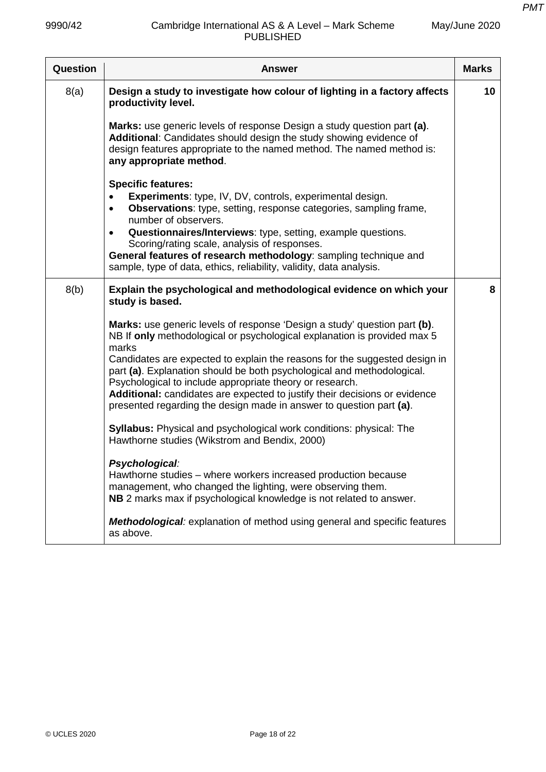| Question | <b>Answer</b>                                                                                                                                                                                                                                                                                                                                                                                                                                                                                                                                                                                                                                                                                                                                                                                                                                                                                   | <b>Marks</b> |
|----------|-------------------------------------------------------------------------------------------------------------------------------------------------------------------------------------------------------------------------------------------------------------------------------------------------------------------------------------------------------------------------------------------------------------------------------------------------------------------------------------------------------------------------------------------------------------------------------------------------------------------------------------------------------------------------------------------------------------------------------------------------------------------------------------------------------------------------------------------------------------------------------------------------|--------------|
| 8(a)     | Design a study to investigate how colour of lighting in a factory affects<br>productivity level.                                                                                                                                                                                                                                                                                                                                                                                                                                                                                                                                                                                                                                                                                                                                                                                                | 10           |
|          | Marks: use generic levels of response Design a study question part (a).<br>Additional: Candidates should design the study showing evidence of<br>design features appropriate to the named method. The named method is:<br>any appropriate method.                                                                                                                                                                                                                                                                                                                                                                                                                                                                                                                                                                                                                                               |              |
|          | <b>Specific features:</b><br><b>Experiments: type, IV, DV, controls, experimental design.</b><br>$\bullet$<br><b>Observations:</b> type, setting, response categories, sampling frame,<br>$\bullet$<br>number of observers.<br>Questionnaires/Interviews: type, setting, example questions.<br>Scoring/rating scale, analysis of responses.<br>General features of research methodology: sampling technique and<br>sample, type of data, ethics, reliability, validity, data analysis.                                                                                                                                                                                                                                                                                                                                                                                                          |              |
| 8(b)     | Explain the psychological and methodological evidence on which your<br>study is based.                                                                                                                                                                                                                                                                                                                                                                                                                                                                                                                                                                                                                                                                                                                                                                                                          | 8            |
|          | Marks: use generic levels of response 'Design a study' question part (b).<br>NB If only methodological or psychological explanation is provided max 5<br>marks<br>Candidates are expected to explain the reasons for the suggested design in<br>part (a). Explanation should be both psychological and methodological.<br>Psychological to include appropriate theory or research.<br>Additional: candidates are expected to justify their decisions or evidence<br>presented regarding the design made in answer to question part (a).<br><b>Syllabus:</b> Physical and psychological work conditions: physical: The<br>Hawthorne studies (Wikstrom and Bendix, 2000)<br>Psychological:<br>Hawthorne studies - where workers increased production because<br>management, who changed the lighting, were observing them.<br>NB 2 marks max if psychological knowledge is not related to answer. |              |
|          | Methodological: explanation of method using general and specific features<br>as above.                                                                                                                                                                                                                                                                                                                                                                                                                                                                                                                                                                                                                                                                                                                                                                                                          |              |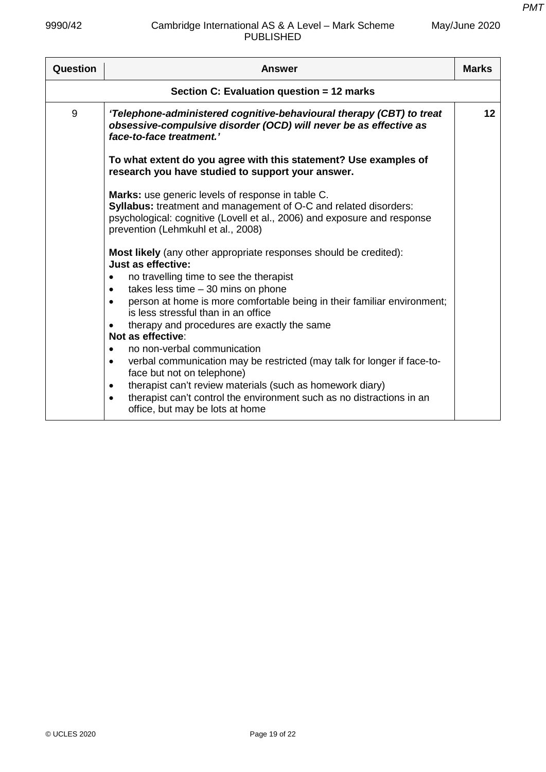| Question                                  | Answer                                                                                                                                                                                                                                                                                                                                                                                                                                                                                                                                                                                                                                                                                                                                                                                   | <b>Marks</b> |
|-------------------------------------------|------------------------------------------------------------------------------------------------------------------------------------------------------------------------------------------------------------------------------------------------------------------------------------------------------------------------------------------------------------------------------------------------------------------------------------------------------------------------------------------------------------------------------------------------------------------------------------------------------------------------------------------------------------------------------------------------------------------------------------------------------------------------------------------|--------------|
| Section C: Evaluation question = 12 marks |                                                                                                                                                                                                                                                                                                                                                                                                                                                                                                                                                                                                                                                                                                                                                                                          |              |
| 9                                         | 'Telephone-administered cognitive-behavioural therapy (CBT) to treat<br>obsessive-compulsive disorder (OCD) will never be as effective as<br>face-to-face treatment.'                                                                                                                                                                                                                                                                                                                                                                                                                                                                                                                                                                                                                    | 12           |
|                                           | To what extent do you agree with this statement? Use examples of<br>research you have studied to support your answer.                                                                                                                                                                                                                                                                                                                                                                                                                                                                                                                                                                                                                                                                    |              |
|                                           | Marks: use generic levels of response in table C.<br>Syllabus: treatment and management of O-C and related disorders:<br>psychological: cognitive (Lovell et al., 2006) and exposure and response<br>prevention (Lehmkuhl et al., 2008)                                                                                                                                                                                                                                                                                                                                                                                                                                                                                                                                                  |              |
|                                           | Most likely (any other appropriate responses should be credited):<br>Just as effective:<br>no travelling time to see the therapist<br>$\bullet$<br>takes less time $-30$ mins on phone<br>$\bullet$<br>person at home is more comfortable being in their familiar environment;<br>$\bullet$<br>is less stressful than in an office<br>therapy and procedures are exactly the same<br>$\bullet$<br>Not as effective:<br>no non-verbal communication<br>$\bullet$<br>verbal communication may be restricted (may talk for longer if face-to-<br>$\bullet$<br>face but not on telephone)<br>therapist can't review materials (such as homework diary)<br>$\bullet$<br>therapist can't control the environment such as no distractions in an<br>$\bullet$<br>office, but may be lots at home |              |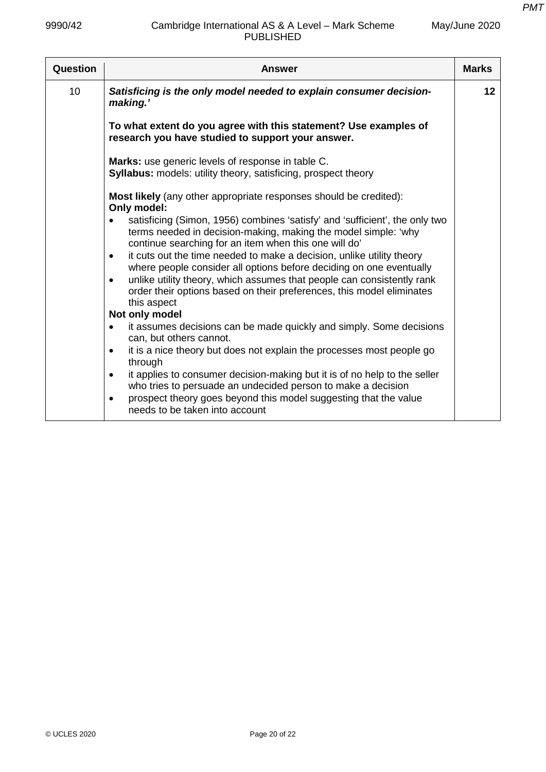| Question | <b>Answer</b>                                                                                                                                                                                          | <b>Marks</b> |
|----------|--------------------------------------------------------------------------------------------------------------------------------------------------------------------------------------------------------|--------------|
| 10       | Satisficing is the only model needed to explain consumer decision-<br>making.'                                                                                                                         | 12           |
|          | To what extent do you agree with this statement? Use examples of<br>research you have studied to support your answer.                                                                                  |              |
|          | Marks: use generic levels of response in table C.<br>Syllabus: models: utility theory, satisficing, prospect theory                                                                                    |              |
|          | <b>Most likely</b> (any other appropriate responses should be credited):<br>Only model:                                                                                                                |              |
|          | satisficing (Simon, 1956) combines 'satisfy' and 'sufficient', the only two<br>terms needed in decision-making, making the model simple: 'why<br>continue searching for an item when this one will do' |              |
|          | it cuts out the time needed to make a decision, unlike utility theory<br>$\bullet$<br>where people consider all options before deciding on one eventually                                              |              |
|          | unlike utility theory, which assumes that people can consistently rank<br>$\bullet$<br>order their options based on their preferences, this model eliminates<br>this aspect                            |              |
|          | Not only model                                                                                                                                                                                         |              |
|          | it assumes decisions can be made quickly and simply. Some decisions<br>$\bullet$<br>can, but others cannot.                                                                                            |              |
|          | it is a nice theory but does not explain the processes most people go<br>$\bullet$<br>through                                                                                                          |              |
|          | it applies to consumer decision-making but it is of no help to the seller<br>$\bullet$<br>who tries to persuade an undecided person to make a decision                                                 |              |
|          | prospect theory goes beyond this model suggesting that the value<br>$\bullet$<br>needs to be taken into account                                                                                        |              |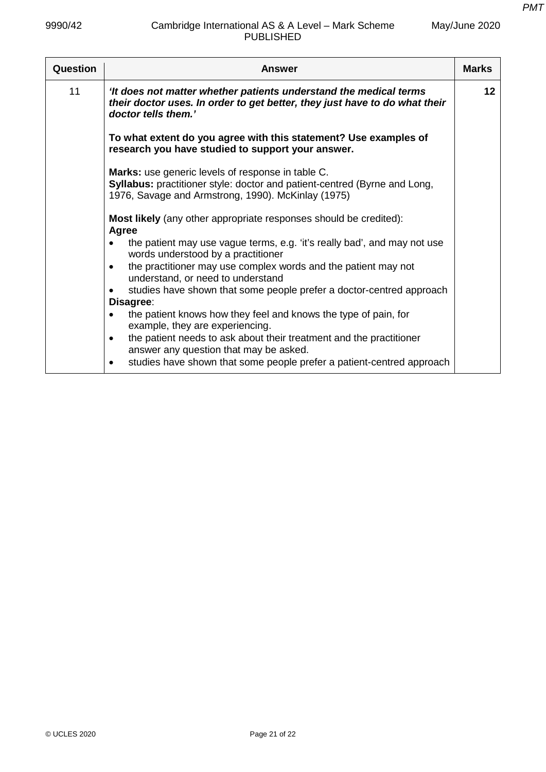| Question | Answer                                                                                                                                                                                             | <b>Marks</b> |
|----------|----------------------------------------------------------------------------------------------------------------------------------------------------------------------------------------------------|--------------|
| 11       | 'It does not matter whether patients understand the medical terms<br>their doctor uses. In order to get better, they just have to do what their<br>doctor tells them.'                             | 12           |
|          | To what extent do you agree with this statement? Use examples of<br>research you have studied to support your answer.                                                                              |              |
|          | <b>Marks:</b> use generic levels of response in table C.<br><b>Syllabus:</b> practitioner style: doctor and patient-centred (Byrne and Long,<br>1976, Savage and Armstrong, 1990). McKinlay (1975) |              |
|          | <b>Most likely</b> (any other appropriate responses should be credited):<br><b>Agree</b>                                                                                                           |              |
|          | the patient may use vague terms, e.g. 'it's really bad', and may not use<br>words understood by a practitioner                                                                                     |              |
|          | the practitioner may use complex words and the patient may not<br>$\bullet$<br>understand, or need to understand                                                                                   |              |
|          | studies have shown that some people prefer a doctor-centred approach                                                                                                                               |              |
|          | Disagree:                                                                                                                                                                                          |              |
|          | the patient knows how they feel and knows the type of pain, for<br>$\bullet$<br>example, they are experiencing.                                                                                    |              |
|          | the patient needs to ask about their treatment and the practitioner<br>$\bullet$<br>answer any question that may be asked.                                                                         |              |
|          | studies have shown that some people prefer a patient-centred approach                                                                                                                              |              |